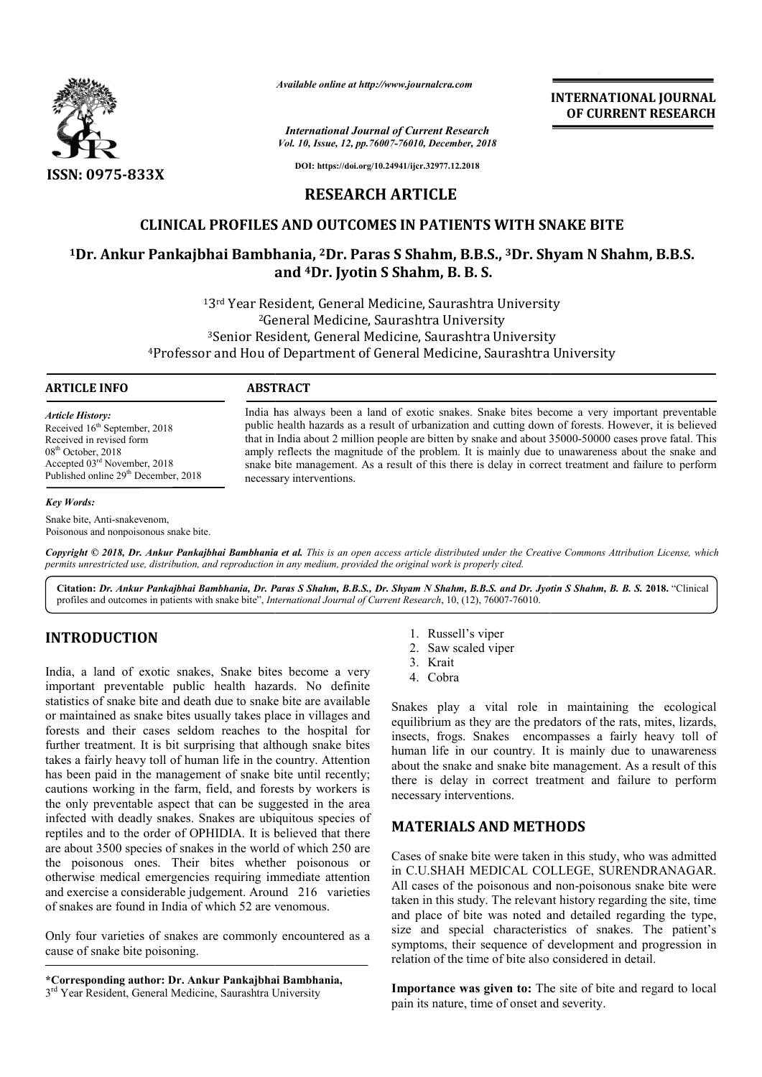

*Available online at http://www.journalcra.com*

*International Journal of Current Research Vol. 10, Issue, 12, pp.76007-76010, December, 2018* **INTERNATIONAL JOURNAL OF CURRENT RESEARCH**

**DOI: https://doi.org/10.24941/ijcr.32977.12.2018**

## **RESEARCH ARTICLE**

# **CLINICAL PROFILES AND OUTCOMES IN PATIENTS WITH SNAKE BITE**

# CLINICAL PROFILES AND OUTCOMES IN PATIENTS WITH SNAKE BITE<br><sup>1</sup>Dr. Ankur Pankajbhai Bambhania, <sup>2</sup>Dr. Paras S Shahm, B.B.S., <sup>3</sup>Dr. Shyam N Shahm, B.B.S. **and 4Dr. Jyotin S Shahm, B. B. S.**

13rd Year Resident, General Medicine, Saurashtra University 2General Medicine, Saurashtra University 3rd Year Resident, General Medicine, Saurashtra University<br><sup>2</sup>General Medicine, Saurashtra University<br><sup>3</sup>Senior Resident, General Medicine, Saurashtra University <sup>2</sup>General Medicine, Saurashtra University<br><sup>3</sup>Senior Resident, General Medicine, Saurashtra University<br>Professor and Hou of Department of General Medicine, Saurashtra University<del>!</del>

#### **ARTICLE INFO ABSTRACT**

*Article History:* Received 16<sup>th</sup> September, 2018 Received in revised form 08<sup>th</sup> October, 2018 Accepted 03rd November, 2018 Published online 29<sup>th</sup> December, 2018

#### *Key Words:*

Snake bite, Anti-snakevenom, Poisonous and nonpoisonous snake bite. India has always been a land of exotic snakes. Snake bites become a very important preventable public health hazards as a result of urbanization and cutting down of forests. However, it is believed that in India about 2 million people are bitten by snake and about 35000 amply reflects the magnitude of the problem. It is mainly due to unawareness about the snake and amply reflects the magnitude of the problem. It is mainly due to unawareness about the snake and snake bite management. As a result of this there is delay in correct treatment and failure to perform necessar necessary interventions. India has always been a land of exotic snakes. Snake bites become a very important preventable<br>public health hazards as a result of urbanization and cutting down of forests. However, it is believed<br>that in India about 2 mi

Copyright © 2018, Dr. Ankur Pankajbhai Bambhania et al. This is an open access article distributed under the Creative Commons Attribution License, which permits unrestricted use, distribution, and reproduction in any medium, provided the original work is properly cited.

**Citation:** *Dr. Ankur Pankajbhai Bambhania, Dr. Paras S Shahm, B.B.S., r. Dr. Shyam N Shahm, B.B.S. and Dr. Jyotin S Shahm, B. B. S. Dr. Shahm, B.*  **2018.** "Clinical profiles and outcomes in patients with snake bite", *International Journal of Current Research* , 10, (12), 76007-76010.

# **INTRODUCTION**

India, a land of exotic snakes, Snake bites become a very important preventable public health hazards. No definite statistics of snake bite and death due to snake bite are available or maintained as snake bites usually takes place in villages and forests and their cases seldom reaches to the hospital for further treatment. It is bit surprising that although snake bites takes a fairly heavy toll of human life in the country. Attention has been paid in the management of snake bite until recently; cautions working in the farm, field, and forests by workers is the only preventable aspect that can be suggested in the area infected with deadly snakes. Snakes are ubiquitous species of reptiles and to the order of OPHIDIA. It is believed that there are about 3500 species of snakes in the world of which 250 are the poisonous ones. Their bites whether poisonous or otherwise medical emergencies requiring immediate attention and exercise a considerable judgement. Around 216 varieties of snakes are found in India of which 52 are venomous. **EXECTION** 1. Russell's viper<br>
2. Russell's viper<br>
2. Saw scaled vip<br>
2. Saw scaled vip<br>
1. Russell's viper<br>
1. Russell's viper<br>
1. Russell's viper<br>
1. Russell's viper<br>
1. Russell's viper<br>
1. Russell's viper<br>
1. Russell's

Only four varieties of snakes are commonly encountered as a cause of snake bite poisoning.

**\*Corresponding author: Dr. Ankur Pankajbhai Bambhania,**  3<sup>rd</sup> Year Resident, General Medicine, Saurashtra University

- 
- 2. Saw scaled viper
- 3. Krait
- 4. Cobra

Snakes play a vital role in maintaining the ecological equilibrium as they are the predators of the rats, mites, lizards, insects, frogs. Snakes encompasses a fairly heavy toll of human life in our country. It is mainly due to unawareness equilibrium as they are the predators of the rats, mites, lizards, insects, frogs. Snakes encompasses a fairly heavy toll of human life in our country. It is mainly due to unawareness about the snake and snake bite managem there is delay in correct treatment and failure to perform necessary interventions.

# **MATERIALS AND METHODS METHODS**

Cases of snake bite were taken in this study, who was admitted in C.U.SHAH MEDICAL COLLEGE, SURENDRANAGAR. All cases of the poisonous and non-poisonous snake bite were taken in this study. The relevant history regarding the site, time and place of bite was noted and detailed regarding the type, size and special characteristics of snakes. The patient's symptoms, their sequence of development and progression in relation of the time of bite also considered in detail. in this study, who was admitted<br>LEGE, SURENDRANAGAR.<br>non-poisonous snake bite were in in this study. The relevant history regarding the place of bite was noted and detailed regarding and special characteristics of snakes. The ptoms, their sequence of development and progion of the time of bite also consi **ITERNATIONAL JOURNAL**<br> **OF CURRENT RESEARCH**<br> **OF CURRENT RESEARCH**<br> **INVERT PRESEARCH**<br> **INVERT PRESEARCH**<br> **INVERT PRESEARCH**<br> **INVERT PRESEARCH**<br> **INVERT PRESEARCH**<br> **INVERT PRESEARCH**<br> **INVERT PRESEARCH**<br> **INVERT PRES** 

**Importance was given to:** The site of bite and regard to local pain its nature, time of onset and severity.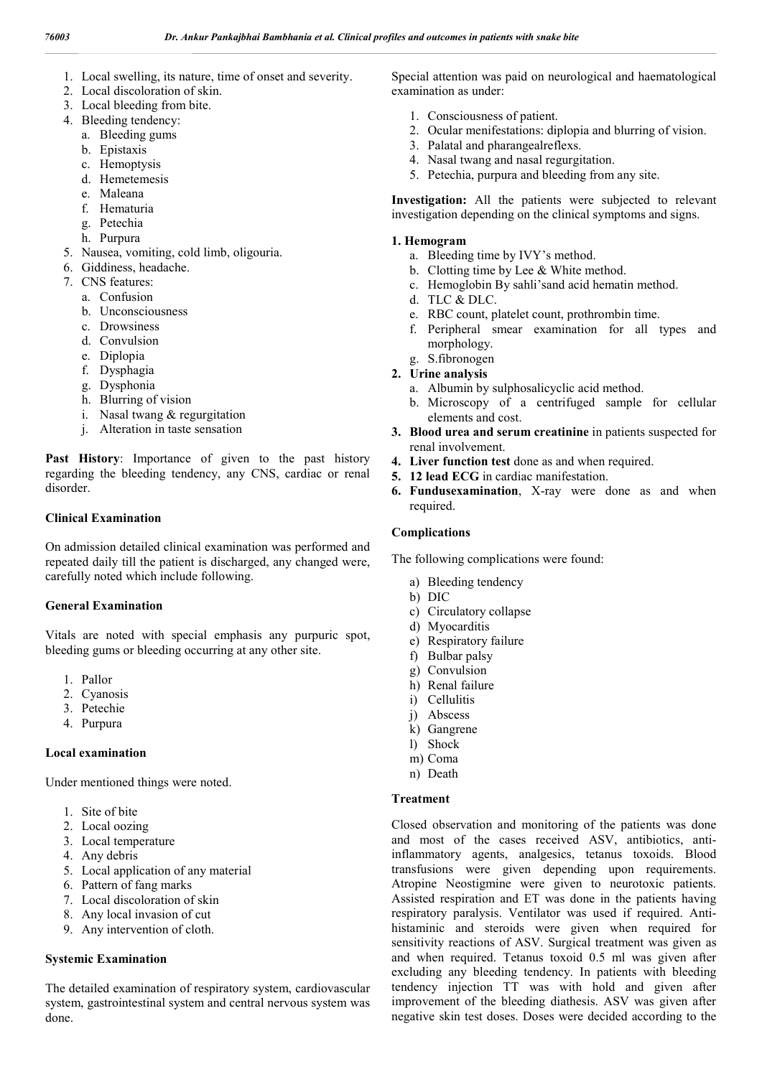- 1. Local swelling, its nature, time of onset and severity.
- 2. Local discoloration of skin.
- 3. Local bleeding from bite.
- 4. Bleeding tendency:
	- a. Bleeding gums
	- b. Epistaxis
	- c. Hemoptysis
	- d. Hemetemesis
	- e. Maleana
	- f. Hematuria
	- g. Petechia
	- h. Purpura
- 5. Nausea, vomiting, cold limb, oligouria.
- 6. Giddiness, headache.
- 7. CNS features:
	- a. Confusion
	- b. Unconsciousness
	- c. Drowsiness
	- d. Convulsion
	- e. Diplopia
	- f. Dysphagia
	- g. Dysphonia
	- h. Blurring of vision
	- i. Nasal twang & regurgitation
	- j. Alteration in taste sensation

**Past History**: Importance of given to the past history regarding the bleeding tendency, any CNS, cardiac or renal disorder.

#### **Clinical Examination**

On admission detailed clinical examination was performed and repeated daily till the patient is discharged, any changed were, carefully noted which include following.

#### **General Examination**

Vitals are noted with special emphasis any purpuric spot, bleeding gums or bleeding occurring at any other site.

- 1. Pallor
- 2. Cyanosis
- 3. Petechie
- 4. Purpura

#### **Local examination**

Under mentioned things were noted.

- 1. Site of bite
- 2. Local oozing
- 3. Local temperature
- 4. Any debris
- 5. Local application of any material
- 6. Pattern of fang marks
- 7. Local discoloration of skin
- 8. Any local invasion of cut
- 9. Any intervention of cloth.

#### **Systemic Examination**

The detailed examination of respiratory system, cardiovascular system, gastrointestinal system and central nervous system was done.

Special attention was paid on neurological and haematological examination as under:

- 1. Consciousness of patient.
- 2. Ocular menifestations: diplopia and blurring of vision.
- 3. Palatal and pharangealreflexs.
- 4. Nasal twang and nasal regurgitation.
- 5. Petechia, purpura and bleeding from any site.

**Investigation:** All the patients were subjected to relevant investigation depending on the clinical symptoms and signs.

#### **1. Hemogram**

- a. Bleeding time by IVY's method.
- b. Clotting time by Lee & White method.
- c. Hemoglobin By sahli'sand acid hematin method.
- d. TLC & DLC.
- e. RBC count, platelet count, prothrombin time.
- f. Peripheral smear examination for all types and morphology.
- g. S.fibronogen
- **2. Urine analysis** 
	- a. Albumin by sulphosalicyclic acid method.
	- b. Microscopy of a centrifuged sample for cellular elements and cost.
- **3. Blood urea and serum creatinine** in patients suspected for renal involvement.
- **4. Liver function test** done as and when required.
- **5. 12 lead ECG** in cardiac manifestation.
- **6. Fundusexamination**, X-ray were done as and when required.

#### **Complications**

The following complications were found:

- a) Bleeding tendency
- b) DIC
- c) Circulatory collapse
- d) Myocarditis
- e) Respiratory failure
- f) Bulbar palsy
- g) Convulsion
- h) Renal failure
- i) Cellulitis
- j) Abscess
- k) Gangrene
- l) Shock
- m) Coma
- n) Death

#### **Treatment**

Closed observation and monitoring of the patients was done and most of the cases received ASV, antibiotics, antiinflammatory agents, analgesics, tetanus toxoids. Blood transfusions were given depending upon requirements. Atropine Neostigmine were given to neurotoxic patients. Assisted respiration and ET was done in the patients having respiratory paralysis. Ventilator was used if required. Antihistaminic and steroids were given when required for sensitivity reactions of ASV. Surgical treatment was given as and when required. Tetanus toxoid 0.5 ml was given after excluding any bleeding tendency. In patients with bleeding tendency injection TT was with hold and given after improvement of the bleeding diathesis. ASV was given after negative skin test doses. Doses were decided according to the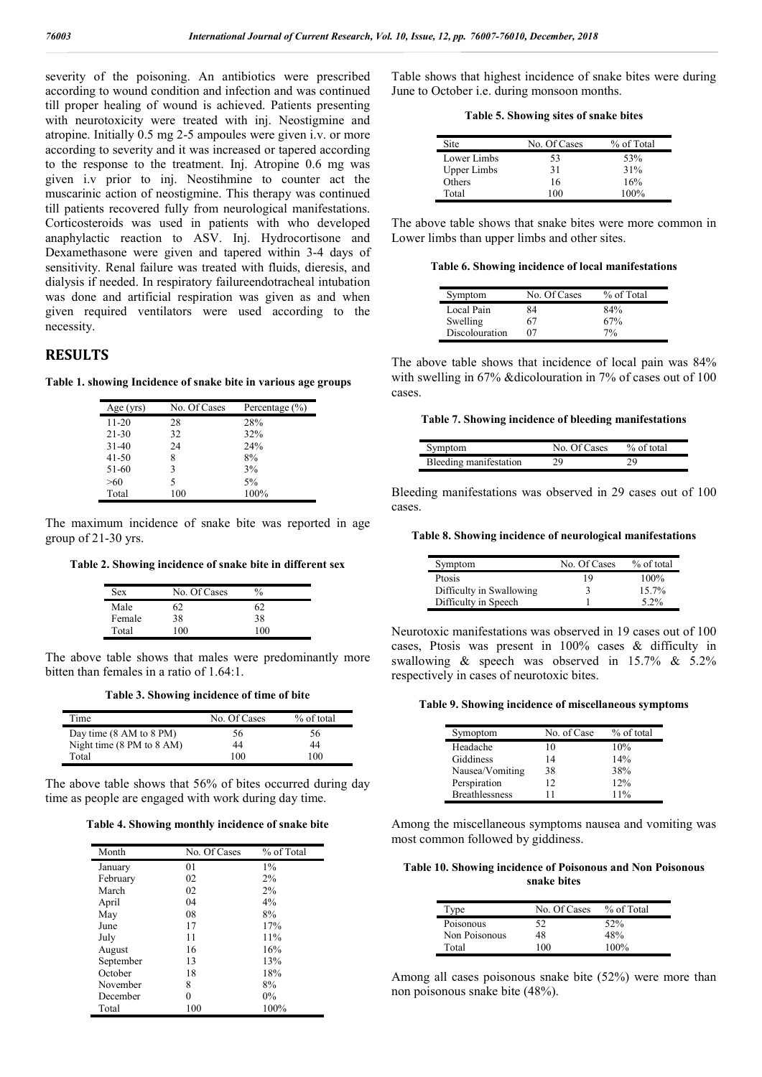severity of the poisoning. An antibiotics were prescribed according to wound condition and infection and was continued till proper healing of wound is achieved. Patients presenting with neurotoxicity were treated with inj. Neostigmine and atropine. Initially 0.5 mg 2-5 ampoules were given i.v. or more according to severity and it was increased or tapered according to the response to the treatment. Inj. Atropine 0.6 mg was given i.v prior to inj. Neostihmine to counter act the muscarinic action of neostigmine. This therapy was continued till patients recovered fully from neurological manifestations. Corticosteroids was used in patients with who developed anaphylactic reaction to ASV. Inj. Hydrocortisone and Dexamethasone were given and tapered within 3-4 days of sensitivity. Renal failure was treated with fluids, dieresis, and dialysis if needed. In respiratory failureendotracheal intubation was done and artificial respiration was given as and when given required ventilators were used according to the necessity.

# **RESULTS**

**Table 1. showing Incidence of snake bite in various age groups**

| Age (yrs) | No. Of Cases | Percentage $(\% )$ |
|-----------|--------------|--------------------|
| $11 - 20$ | 28           | 28%                |
| $21 - 30$ | 32           | 32%                |
| $31-40$   | 24           | 24%                |
| $41 - 50$ | 8            | 8%                 |
| 51-60     | ٩            | 3%                 |
| >60       | 5            | 5%                 |
| Total     | 100          | 100%               |

The maximum incidence of snake bite was reported in age group of 21-30 yrs.

**Table 2. Showing incidence of snake bite in different sex**

| Sex    | No. Of Cases | $\%$ |
|--------|--------------|------|
| Male   | 62           | 62   |
| Female | 38           | 38   |
| Total  | 100          | 100  |

The above table shows that males were predominantly more bitten than females in a ratio of 1.64:1.

**Table 3. Showing incidence of time of bite**

| Time                                         | No. Of Cases | % of total |
|----------------------------------------------|--------------|------------|
| Day time $(8 \text{ AM to } 8 \text{ PM})$   | 56           | 56         |
| Night time $(8 \text{ PM to } 8 \text{ AM})$ | 44           | 44         |
| Total                                        | 100          | 100        |

The above table shows that 56% of bites occurred during day time as people are engaged with work during day time.

#### **Table 4. Showing monthly incidence of snake bite**

| Month     | No. Of Cases | % of Total |
|-----------|--------------|------------|
| January   | 01           | $1\%$      |
| February  | 02           | 2%         |
| March     | 02           | 2%         |
| April     | 04           | 4%         |
| May       | 08           | 8%         |
| June      | 17           | 17%        |
| July      | 11           | 11%        |
| August    | 16           | 16%        |
| September | 13           | 13%        |
| October   | 18           | 18%        |
| November  | 8            | 8%         |
| December  | 0            | $0\%$      |
| Total     | 100          | 100%       |

Table shows that highest incidence of snake bites were during June to October i.e. during monsoon months.

**Table 5. Showing sites of snake bites**

| Site               | No. Of Cases | % of Total |
|--------------------|--------------|------------|
| Lower Limbs        | 53           | 53%        |
| <b>Upper Limbs</b> | 31           | 31%        |
| Others             | 16           | 16%        |
| Total              | 100          | $100\%$    |

The above table shows that snake bites were more common in Lower limbs than upper limbs and other sites.

**Table 6. Showing incidence of local manifestations**

| Symptom        | No. Of Cases | % of Total |
|----------------|--------------|------------|
| Local Pain     | 84           | 84%        |
| Swelling       | 67           | 67%        |
| Discolouration | 07           | $7\%$      |

The above table shows that incidence of local pain was 84% with swelling in 67% &dicolouration in 7% of cases out of 100 cases.

**Table 7. Showing incidence of bleeding manifestations**

| Symptom                | No. Of Cases | $%$ of total |
|------------------------|--------------|--------------|
| Bleeding manifestation | 29           | 7Ο           |

Bleeding manifestations was observed in 29 cases out of 100 cases.

### **Table 8. Showing incidence of neurological manifestations**

| Symptom                  | No. Of Cases | % of total |
|--------------------------|--------------|------------|
| Ptosis                   | 19           | $100\%$    |
| Difficulty in Swallowing |              | 15.7%      |
| Difficulty in Speech     |              | 5 2%       |

Neurotoxic manifestations was observed in 19 cases out of 100 cases, Ptosis was present in 100% cases & difficulty in swallowing & speech was observed in 15.7% & 5.2% respectively in cases of neurotoxic bites.

**Table 9. Showing incidence of miscellaneous symptoms**

| Symoptom              | No. of Case | % of total |
|-----------------------|-------------|------------|
| Headache              | 10          | 10%        |
| Giddiness             | 14          | 14%        |
| Nausea/Vomiting       | 38          | 38%        |
| Perspiration          | 12          | 12%        |
| <b>Breathlessness</b> | 11          | 11%        |

Among the miscellaneous symptoms nausea and vomiting was most common followed by giddiness.

**Table 10. Showing incidence of Poisonous and Non Poisonous snake bites**

| Type          | No. Of Cases | % of Total |
|---------------|--------------|------------|
| Poisonous     | 52           | 52%        |
| Non Poisonous | 48           | 48%        |
| Total         | 100          | 100%       |

Among all cases poisonous snake bite (52%) were more than non poisonous snake bite (48%).